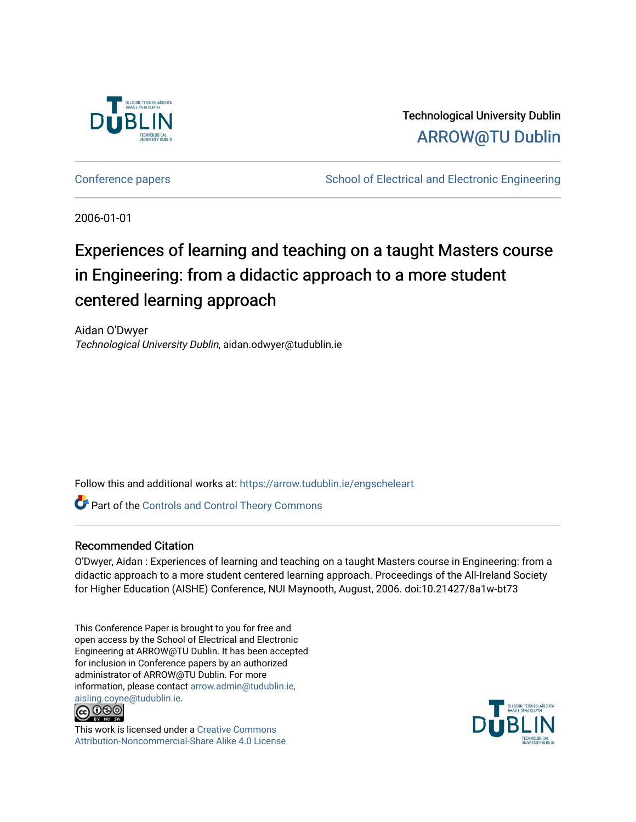

Technological University Dublin [ARROW@TU Dublin](https://arrow.tudublin.ie/) 

[Conference papers](https://arrow.tudublin.ie/engscheleart) **School of Electrical and Electronic Engineering** 

2006-01-01

# Experiences of learning and teaching on a taught Masters course in Engineering: from a didactic approach to a more student centered learning approach

Aidan O'Dwyer Technological University Dublin, aidan.odwyer@tudublin.ie

Follow this and additional works at: [https://arrow.tudublin.ie/engscheleart](https://arrow.tudublin.ie/engscheleart?utm_source=arrow.tudublin.ie%2Fengscheleart%2F13&utm_medium=PDF&utm_campaign=PDFCoverPages) 

**Part of the Controls and Control Theory Commons** 

### Recommended Citation

O'Dwyer, Aidan : Experiences of learning and teaching on a taught Masters course in Engineering: from a didactic approach to a more student centered learning approach. Proceedings of the All-Ireland Society for Higher Education (AISHE) Conference, NUI Maynooth, August, 2006. doi:10.21427/8a1w-bt73

This Conference Paper is brought to you for free and open access by the School of Electrical and Electronic Engineering at ARROW@TU Dublin. It has been accepted for inclusion in Conference papers by an authorized administrator of ARROW@TU Dublin. For more information, please contact [arrow.admin@tudublin.ie,](mailto:arrow.admin@tudublin.ie,%20aisling.coyne@tudublin.ie)  [aisling.coyne@tudublin.ie.](mailto:arrow.admin@tudublin.ie,%20aisling.coyne@tudublin.ie)<br>© 000



This work is licensed under a [Creative Commons](http://creativecommons.org/licenses/by-nc-sa/4.0/) [Attribution-Noncommercial-Share Alike 4.0 License](http://creativecommons.org/licenses/by-nc-sa/4.0/)

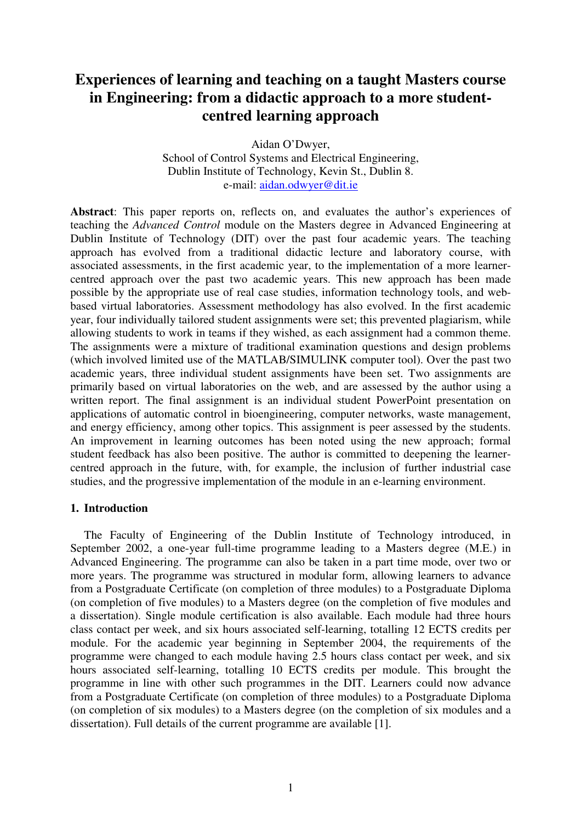## **Experiences of learning and teaching on a taught Masters course in Engineering: from a didactic approach to a more studentcentred learning approach**

Aidan O'Dwyer, School of Control Systems and Electrical Engineering, Dublin Institute of Technology, Kevin St., Dublin 8. e-mail: aidan.odwyer@dit.ie

Abstract: This paper reports on, reflects on, and evaluates the author's experiences of teaching the *Advanced Control* module on the Masters degree in Advanced Engineering at Dublin Institute of Technology (DIT) over the past four academic years. The teaching approach has evolved from a traditional didactic lecture and laboratory course, with associated assessments, in the first academic year, to the implementation of a more learnercentred approach over the past two academic years. This new approach has been made possible by the appropriate use of real case studies, information technology tools, and webbased virtual laboratories. Assessment methodology has also evolved. In the first academic year, four individually tailored student assignments were set; this prevented plagiarism, while allowing students to work in teams if they wished, as each assignment had a common theme. The assignments were a mixture of traditional examination questions and design problems (which involved limited use of the MATLAB/SIMULINK computer tool). Over the past two academic years, three individual student assignments have been set. Two assignments are primarily based on virtual laboratories on the web, and are assessed by the author using a written report. The final assignment is an individual student PowerPoint presentation on applications of automatic control in bioengineering, computer networks, waste management, and energy efficiency, among other topics. This assignment is peer assessed by the students. An improvement in learning outcomes has been noted using the new approach; formal student feedback has also been positive. The author is committed to deepening the learnercentred approach in the future, with, for example, the inclusion of further industrial case studies, and the progressive implementation of the module in an e-learning environment.

#### **1. Introduction**

The Faculty of Engineering of the Dublin Institute of Technology introduced, in September 2002, a one-year full-time programme leading to a Masters degree (M.E.) in Advanced Engineering. The programme can also be taken in a part time mode, over two or more years. The programme was structured in modular form, allowing learners to advance from a Postgraduate Certificate (on completion of three modules) to a Postgraduate Diploma (on completion of five modules) to a Masters degree (on the completion of five modules and a dissertation). Single module certification is also available. Each module had three hours class contact per week, and six hours associated self-learning, totalling 12 ECTS credits per module. For the academic year beginning in September 2004, the requirements of the programme were changed to each module having 2.5 hours class contact per week, and six hours associated self-learning, totalling 10 ECTS credits per module. This brought the programme in line with other such programmes in the DIT. Learners could now advance from a Postgraduate Certificate (on completion of three modules) to a Postgraduate Diploma (on completion of six modules) to a Masters degree (on the completion of six modules and a dissertation). Full details of the current programme are available [1].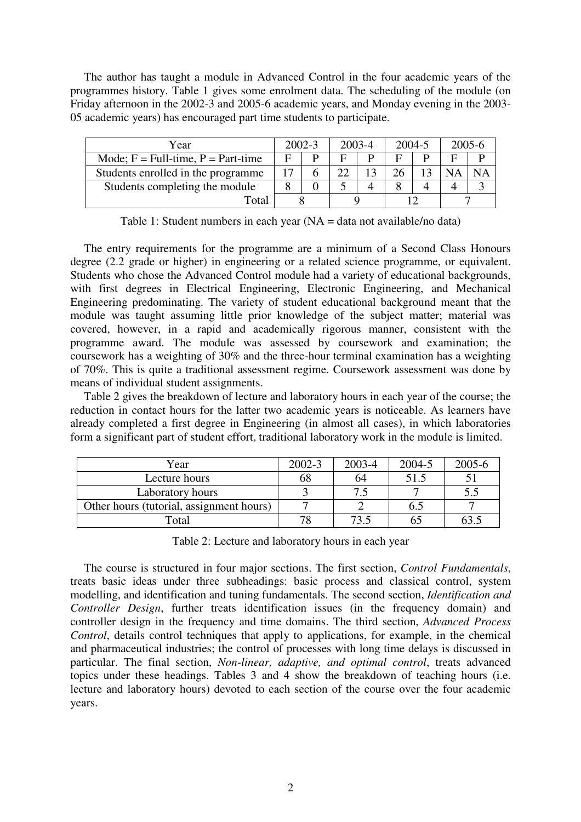The author has taught a module in Advanced Control in the four academic years of the programmes history. Table 1 gives some enrolment data. The scheduling of the module (on Friday afternoon in the 2002-3 and 2005-6 academic years, and Monday evening in the 2003- 05 academic years) has encouraged part time students to participate.

| Year                                 | $2002 - 3$ |  | 2003-4 |   | 2004-5 |  | 2005-6 |    |
|--------------------------------------|------------|--|--------|---|--------|--|--------|----|
| Mode; $F = Full-time, P = Part-time$ |            |  | Е      | D | Е      |  |        |    |
| Students enrolled in the programme   |            |  | ററ     |   |        |  |        | NΑ |
| Students completing the module       |            |  |        |   |        |  |        |    |
| Total                                |            |  |        |   |        |  |        |    |

Table 1: Student numbers in each year (NA = data not available/no data)

The entry requirements for the programme are a minimum of a Second Class Honours degree (2.2 grade or higher) in engineering or a related science programme, or equivalent. Students who chose the Advanced Control module had a variety of educational backgrounds, with first degrees in Electrical Engineering, Electronic Engineering, and Mechanical Engineering predominating. The variety of student educational background meant that the module was taught assuming little prior knowledge of the subject matter; material was covered, however, in a rapid and academically rigorous manner, consistent with the programme award. The module was assessed by coursework and examination; the coursework has a weighting of 30% and the three-hour terminal examination has a weighting of 70%. This is quite a traditional assessment regime. Coursework assessment was done by means of individual student assignments.

Table 2 gives the breakdown of lecture and laboratory hours in each year of the course; the reduction in contact hours for the latter two academic years is noticeable. As learners have already completed a first degree in Engineering (in almost all cases), in which laboratories form a significant part of student effort, traditional laboratory work in the module is limited.

| Year                                     | $2002 - 3$ | 2003-4 | 2004-5 | 2005-6 |
|------------------------------------------|------------|--------|--------|--------|
| Lecture hours                            | 68         | 64     | 51.5   |        |
| Laboratory hours                         |            |        |        | ن. ب   |
| Other hours (tutorial, assignment hours) |            |        | 0.J    |        |
| Total                                    | 78         | 73.5   | 65     |        |

Table 2: Lecture and laboratory hours in each year

The course is structured in four major sections. The first section, *Control Fundamentals*, treats basic ideas under three subheadings: basic process and classical control, system modelling, and identification and tuning fundamentals. The second section, *Identification and Controller Design*, further treats identification issues (in the frequency domain) and controller design in the frequency and time domains. The third section, *Advanced Process Control*, details control techniques that apply to applications, for example, in the chemical and pharmaceutical industries; the control of processes with long time delays is discussed in particular. The final section, *Non-linear, adaptive, and optimal control*, treats advanced topics under these headings. Tables 3 and 4 show the breakdown of teaching hours (i.e. lecture and laboratory hours) devoted to each section of the course over the four academic years.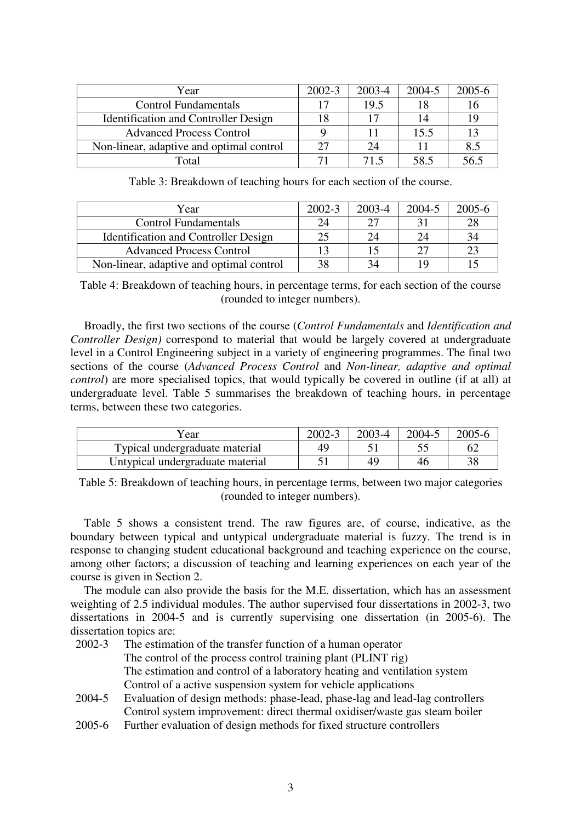| Year                                        | $2002 - 3$ | 2003-4 | 2004-5 | 2005-6 |
|---------------------------------------------|------------|--------|--------|--------|
| <b>Control Fundamentals</b>                 | 17         | 19.5   |        | 16     |
| <b>Identification and Controller Design</b> | 18         |        | 14     | 19     |
| <b>Advanced Process Control</b>             |            |        | 15.5   | 13     |
| Non-linear, adaptive and optimal control    | 27         | 24     |        | 8.5    |
| Total                                       |            | 71.5   | 58.5   | 56.5   |

Table 3: Breakdown of teaching hours for each section of the course.

| Year                                        | $2002 - 3$ | 2003-4 | 2004-5 | $2005 - 6$ |
|---------------------------------------------|------------|--------|--------|------------|
| <b>Control Fundamentals</b>                 | 24         |        |        | 28         |
| <b>Identification and Controller Design</b> | 25         | 24     |        | 34         |
| <b>Advanced Process Control</b>             | 13         |        |        | 23         |
| Non-linear, adaptive and optimal control    | 38         | 34     |        |            |

Table 4: Breakdown of teaching hours, in percentage terms, for each section of the course (rounded to integer numbers).

Broadly, the first two sections of the course (*Control Fundamentals* and *Identification and Controller Design)* correspond to material that would be largely covered at undergraduate level in a Control Engineering subject in a variety of engineering programmes. The final two sections of the course (*Advanced Process Control* and *Non-linear, adaptive and optimal control*) are more specialised topics, that would typically be covered in outline (if at all) at undergraduate level. Table 5 summarises the breakdown of teaching hours, in percentage terms, between these two categories.

| Year                             | $2002 - 3$ | 2003-4 | 2004-5 | 2005-6 |
|----------------------------------|------------|--------|--------|--------|
| Typical undergraduate material   | 49         |        |        |        |
| Untypical undergraduate material |            | 4С     | ⊥r     |        |

Table 5: Breakdown of teaching hours, in percentage terms, between two major categories (rounded to integer numbers).

Table 5 shows a consistent trend. The raw figures are, of course, indicative, as the boundary between typical and untypical undergraduate material is fuzzy. The trend is in response to changing student educational background and teaching experience on the course, among other factors; a discussion of teaching and learning experiences on each year of the course is given in Section 2.

The module can also provide the basis for the M.E. dissertation, which has an assessment weighting of 2.5 individual modules. The author supervised four dissertations in 2002-3, two dissertations in 2004-5 and is currently supervising one dissertation (in 2005-6). The dissertation topics are:

- 2002-3 The estimation of the transfer function of a human operator The control of the process control training plant (PLINT rig) The estimation and control of a laboratory heating and ventilation system Control of a active suspension system for vehicle applications
- 2004-5 Evaluation of design methods: phase-lead, phase-lag and lead-lag controllers Control system improvement: direct thermal oxidiser/waste gas steam boiler
- 2005-6 Further evaluation of design methods for fixed structure controllers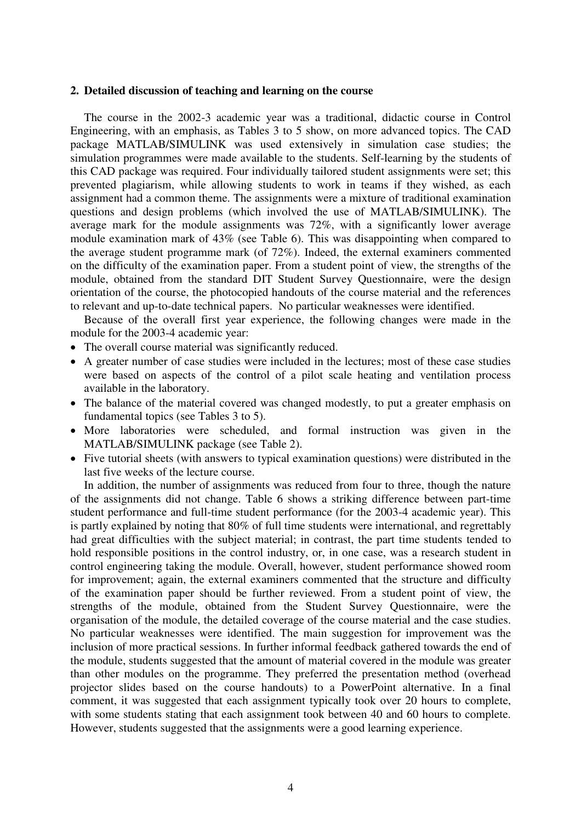#### **2. Detailed discussion of teaching and learning on the course**

The course in the 2002-3 academic year was a traditional, didactic course in Control Engineering, with an emphasis, as Tables 3 to 5 show, on more advanced topics. The CAD package MATLAB/SIMULINK was used extensively in simulation case studies; the simulation programmes were made available to the students. Self-learning by the students of this CAD package was required. Four individually tailored student assignments were set; this prevented plagiarism, while allowing students to work in teams if they wished, as each assignment had a common theme. The assignments were a mixture of traditional examination questions and design problems (which involved the use of MATLAB/SIMULINK). The average mark for the module assignments was 72%, with a significantly lower average module examination mark of 43% (see Table 6). This was disappointing when compared to the average student programme mark (of 72%). Indeed, the external examiners commented on the difficulty of the examination paper. From a student point of view, the strengths of the module, obtained from the standard DIT Student Survey Questionnaire, were the design orientation of the course, the photocopied handouts of the course material and the references to relevant and up-to-date technical papers. No particular weaknesses were identified.

Because of the overall first year experience, the following changes were made in the module for the 2003-4 academic year:

- The overall course material was significantly reduced.
- A greater number of case studies were included in the lectures; most of these case studies were based on aspects of the control of a pilot scale heating and ventilation process available in the laboratory.
- The balance of the material covered was changed modestly, to put a greater emphasis on fundamental topics (see Tables 3 to 5).
- More laboratories were scheduled, and formal instruction was given in the MATLAB/SIMULINK package (see Table 2).
- Five tutorial sheets (with answers to typical examination questions) were distributed in the last five weeks of the lecture course.

In addition, the number of assignments was reduced from four to three, though the nature of the assignments did not change. Table 6 shows a striking difference between part-time student performance and full-time student performance (for the 2003-4 academic year). This is partly explained by noting that 80% of full time students were international, and regrettably had great difficulties with the subject material; in contrast, the part time students tended to hold responsible positions in the control industry, or, in one case, was a research student in control engineering taking the module. Overall, however, student performance showed room for improvement; again, the external examiners commented that the structure and difficulty of the examination paper should be further reviewed. From a student point of view, the strengths of the module, obtained from the Student Survey Questionnaire, were the organisation of the module, the detailed coverage of the course material and the case studies. No particular weaknesses were identified. The main suggestion for improvement was the inclusion of more practical sessions. In further informal feedback gathered towards the end of the module, students suggested that the amount of material covered in the module was greater than other modules on the programme. They preferred the presentation method (overhead projector slides based on the course handouts) to a PowerPoint alternative. In a final comment, it was suggested that each assignment typically took over 20 hours to complete, with some students stating that each assignment took between 40 and 60 hours to complete. However, students suggested that the assignments were a good learning experience.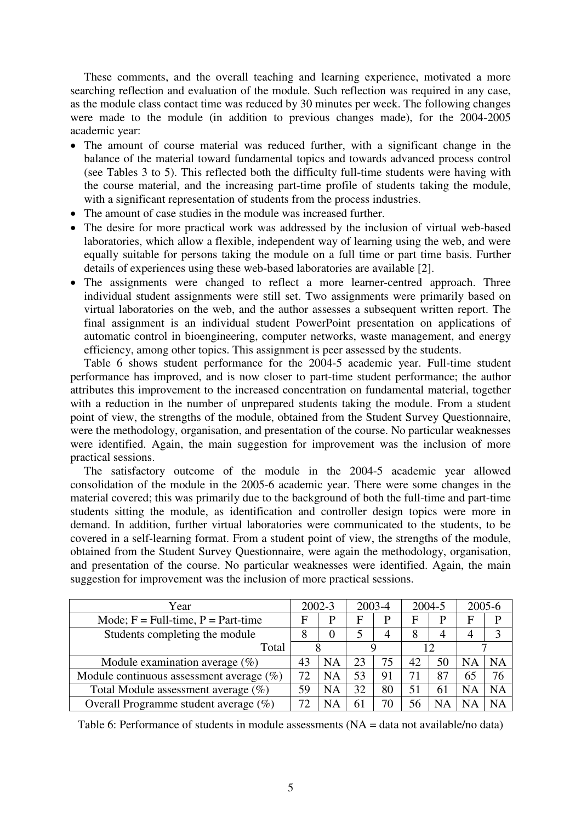These comments, and the overall teaching and learning experience, motivated a more searching reflection and evaluation of the module. Such reflection was required in any case, as the module class contact time was reduced by 30 minutes per week. The following changes were made to the module (in addition to previous changes made), for the 2004-2005 academic year:

- The amount of course material was reduced further, with a significant change in the balance of the material toward fundamental topics and towards advanced process control (see Tables 3 to 5). This reflected both the difficulty full-time students were having with the course material, and the increasing part-time profile of students taking the module, with a significant representation of students from the process industries.
- The amount of case studies in the module was increased further.
- The desire for more practical work was addressed by the inclusion of virtual web-based laboratories, which allow a flexible, independent way of learning using the web, and were equally suitable for persons taking the module on a full time or part time basis. Further details of experiences using these web-based laboratories are available [2].
- The assignments were changed to reflect a more learner-centred approach. Three individual student assignments were still set. Two assignments were primarily based on virtual laboratories on the web, and the author assesses a subsequent written report. The final assignment is an individual student PowerPoint presentation on applications of automatic control in bioengineering, computer networks, waste management, and energy efficiency, among other topics. This assignment is peer assessed by the students.

Table 6 shows student performance for the 2004-5 academic year. Full-time student performance has improved, and is now closer to part-time student performance; the author attributes this improvement to the increased concentration on fundamental material, together with a reduction in the number of unprepared students taking the module. From a student point of view, the strengths of the module, obtained from the Student Survey Questionnaire, were the methodology, organisation, and presentation of the course. No particular weaknesses were identified. Again, the main suggestion for improvement was the inclusion of more practical sessions.

The satisfactory outcome of the module in the 2004-5 academic year allowed consolidation of the module in the 2005-6 academic year. There were some changes in the material covered; this was primarily due to the background of both the full-time and part-time students sitting the module, as identification and controller design topics were more in demand. In addition, further virtual laboratories were communicated to the students, to be covered in a self-learning format. From a student point of view, the strengths of the module, obtained from the Student Survey Questionnaire, were again the methodology, organisation, and presentation of the course. No particular weaknesses were identified. Again, the main suggestion for improvement was the inclusion of more practical sessions.

| Year                                        | $2002 - 3$  |           | 2003-4 |                | 2004-5 |     | 2005-6    |           |
|---------------------------------------------|-------------|-----------|--------|----------------|--------|-----|-----------|-----------|
| Mode; $F = Full-time, P = Part-time$        | $\mathbf F$ | P         | F      | P              | F      |     | F         |           |
| Students completing the module              | 8           | 0         |        | $\overline{4}$ | 8      |     | 4         |           |
| Total                                       |             |           |        | 12             |        |     |           |           |
| Module examination average $(\%)$           | 43          | <b>NA</b> | 23     | 75             | 42     | 50  | NA        | NΑ        |
| Module continuous assessment average $(\%)$ | 72          | NA        | 53     | 91             | 71     | 87  | 65        | 76        |
| Total Module assessment average $(\%)$      | 59          | <b>NA</b> | 32     | 80             | 51     | 61  | <b>NA</b> | <b>NA</b> |
| Overall Programme student average $(\%)$    | 72          | <b>NA</b> | 61     | 70             | 56     | N A |           | ΝA        |

Table 6: Performance of students in module assessments (NA = data not available/no data)